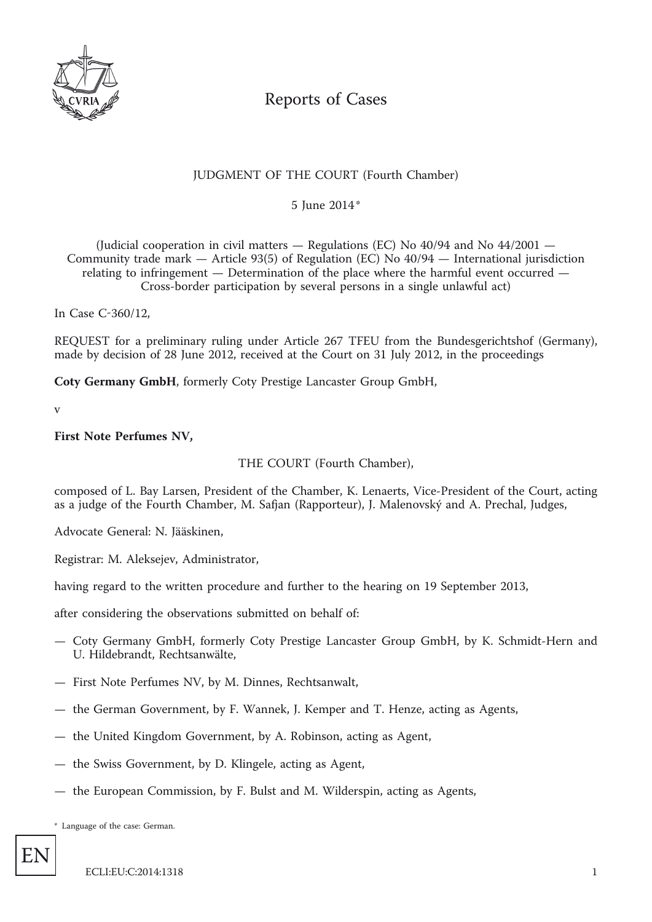

# Reports of Cases

# JUDGMENT OF THE COURT (Fourth Chamber)

\* 5 June 2014

(Judicial cooperation in civil matters  $-$  Regulations (EC) No 40/94 and No 44/2001  $-$ Community trade mark — Article 93(5) of Regulation (EC) No 40/94 — International jurisdiction relating to infringement — Determination of the place where the harmful event occurred — Cross-border participation by several persons in a single unlawful act)

In Case C-360/12,

REQUEST for a preliminary ruling under Article 267 TFEU from the Bundesgerichtshof (Germany), made by decision of 28 June 2012, received at the Court on 31 July 2012, in the proceedings

**Coty Germany GmbH**, formerly Coty Prestige Lancaster Group GmbH,

v

#### **First Note Perfumes NV,**

# THE COURT (Fourth Chamber),

composed of L. Bay Larsen, President of the Chamber, K. Lenaerts, Vice-President of the Court, acting as a judge of the Fourth Chamber, M. Safjan (Rapporteur), J. Malenovský and A. Prechal, Judges,

Advocate General: N. Jääskinen,

Registrar: M. Aleksejev, Administrator,

having regard to the written procedure and further to the hearing on 19 September 2013,

after considering the observations submitted on behalf of:

- Coty Germany GmbH, formerly Coty Prestige Lancaster Group GmbH, by K. Schmidt-Hern and U. Hildebrandt, Rechtsanwälte,
- First Note Perfumes NV, by M. Dinnes, Rechtsanwalt,
- the German Government, by F. Wannek, J. Kemper and T. Henze, acting as Agents,
- the United Kingdom Government, by A. Robinson, acting as Agent,
- the Swiss Government, by D. Klingele, acting as Agent,
- the European Commission, by F. Bulst and M. Wilderspin, acting as Agents,

\* Language of the case: German.

EN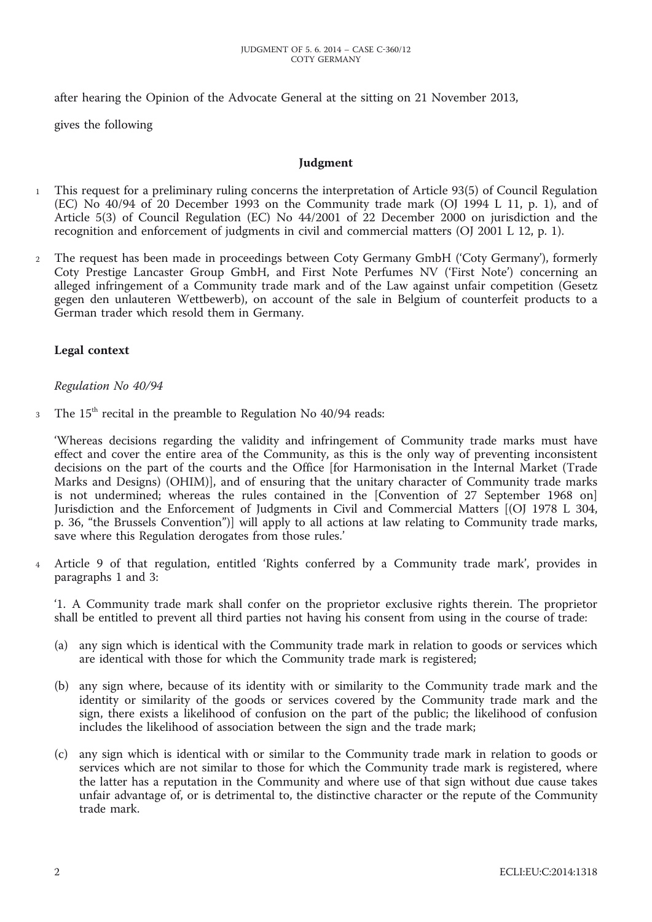after hearing the Opinion of the Advocate General at the sitting on 21 November 2013,

gives the following

#### **Judgment**

- 1 This request for a preliminary ruling concerns the interpretation of Article 93(5) of Council Regulation (EC) No 40/94 of 20 December 1993 on the Community trade mark (OJ 1994 L 11, p. 1), and of Article 5(3) of Council Regulation (EC) No 44/2001 of 22 December 2000 on jurisdiction and the recognition and enforcement of judgments in civil and commercial matters (OJ 2001 L 12, p. 1).
- 2 The request has been made in proceedings between Coty Germany GmbH ('Coty Germany'), formerly Coty Prestige Lancaster Group GmbH, and First Note Perfumes NV ('First Note') concerning an alleged infringement of a Community trade mark and of the Law against unfair competition (Gesetz gegen den unlauteren Wettbewerb), on account of the sale in Belgium of counterfeit products to a German trader which resold them in Germany.

# **Legal context**

#### *Regulation No 40/94*

3 The 15<sup>th</sup> recital in the preamble to Regulation No 40/94 reads:

'Whereas decisions regarding the validity and infringement of Community trade marks must have effect and cover the entire area of the Community, as this is the only way of preventing inconsistent decisions on the part of the courts and the Office [for Harmonisation in the Internal Market (Trade Marks and Designs) (OHIM)], and of ensuring that the unitary character of Community trade marks is not undermined; whereas the rules contained in the [Convention of 27 September 1968 on] Jurisdiction and the Enforcement of Judgments in Civil and Commercial Matters [(OJ 1978 L 304, p. 36, "the Brussels Convention")] will apply to all actions at law relating to Community trade marks, save where this Regulation derogates from those rules.'

4 Article 9 of that regulation, entitled 'Rights conferred by a Community trade mark', provides in paragraphs 1 and 3:

'1. A Community trade mark shall confer on the proprietor exclusive rights therein. The proprietor shall be entitled to prevent all third parties not having his consent from using in the course of trade:

- (a) any sign which is identical with the Community trade mark in relation to goods or services which are identical with those for which the Community trade mark is registered;
- (b) any sign where, because of its identity with or similarity to the Community trade mark and the identity or similarity of the goods or services covered by the Community trade mark and the sign, there exists a likelihood of confusion on the part of the public; the likelihood of confusion includes the likelihood of association between the sign and the trade mark;
- (c) any sign which is identical with or similar to the Community trade mark in relation to goods or services which are not similar to those for which the Community trade mark is registered, where the latter has a reputation in the Community and where use of that sign without due cause takes unfair advantage of, or is detrimental to, the distinctive character or the repute of the Community trade mark.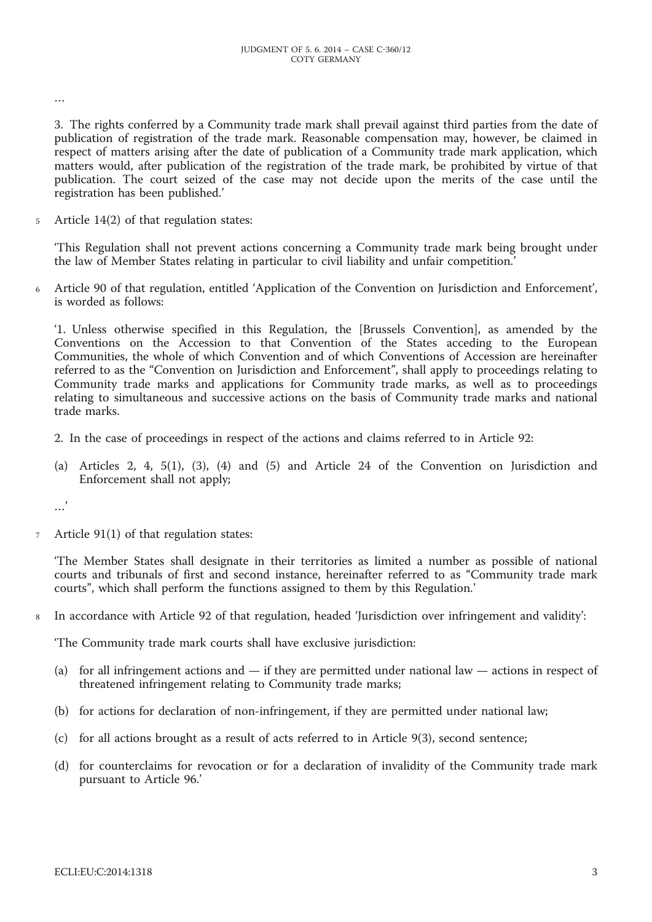…

3. The rights conferred by a Community trade mark shall prevail against third parties from the date of publication of registration of the trade mark. Reasonable compensation may, however, be claimed in respect of matters arising after the date of publication of a Community trade mark application, which matters would, after publication of the registration of the trade mark, be prohibited by virtue of that publication. The court seized of the case may not decide upon the merits of the case until the registration has been published.'

5 Article 14(2) of that regulation states:

'This Regulation shall not prevent actions concerning a Community trade mark being brought under the law of Member States relating in particular to civil liability and unfair competition.'

6 Article 90 of that regulation, entitled 'Application of the Convention on Jurisdiction and Enforcement', is worded as follows:

'1. Unless otherwise specified in this Regulation, the [Brussels Convention], as amended by the Conventions on the Accession to that Convention of the States acceding to the European Communities, the whole of which Convention and of which Conventions of Accession are hereinafter referred to as the "Convention on Jurisdiction and Enforcement", shall apply to proceedings relating to Community trade marks and applications for Community trade marks, as well as to proceedings relating to simultaneous and successive actions on the basis of Community trade marks and national trade marks.

- 2. In the case of proceedings in respect of the actions and claims referred to in Article 92:
- (a) Articles 2, 4, 5(1), (3), (4) and (5) and Article 24 of the Convention on Jurisdiction and Enforcement shall not apply;

…'

7 Article 91(1) of that regulation states:

'The Member States shall designate in their territories as limited a number as possible of national courts and tribunals of first and second instance, hereinafter referred to as "Community trade mark courts", which shall perform the functions assigned to them by this Regulation.'

8 In accordance with Article 92 of that regulation, headed 'Jurisdiction over infringement and validity':

'The Community trade mark courts shall have exclusive jurisdiction:

- (a) for all infringement actions and if they are permitted under national law actions in respect of threatened infringement relating to Community trade marks;
- (b) for actions for declaration of non-infringement, if they are permitted under national law;
- (c) for all actions brought as a result of acts referred to in Article 9(3), second sentence;
- (d) for counterclaims for revocation or for a declaration of invalidity of the Community trade mark pursuant to Article 96.'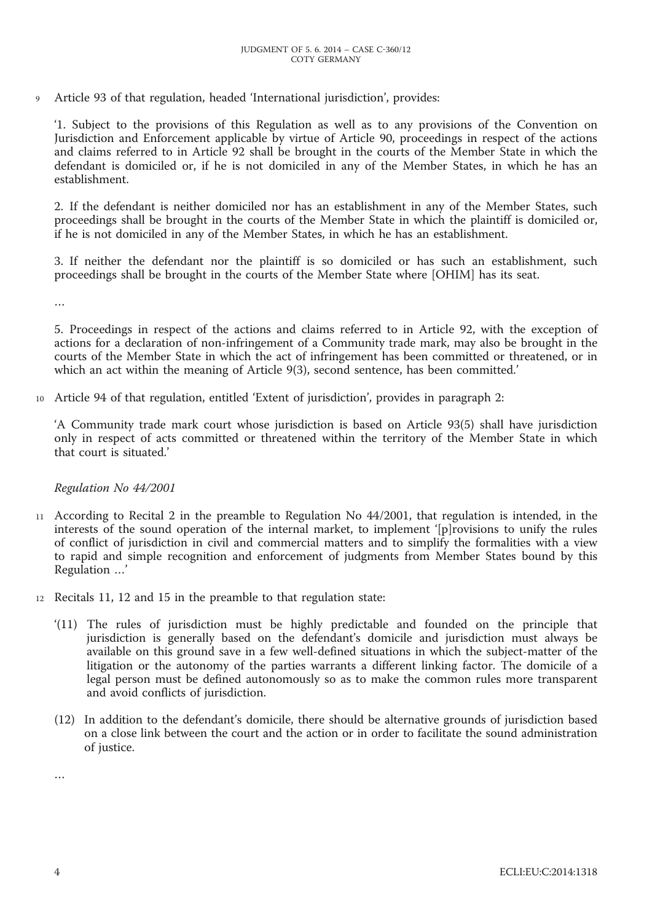9 Article 93 of that regulation, headed 'International jurisdiction', provides:

'1. Subject to the provisions of this Regulation as well as to any provisions of the Convention on Jurisdiction and Enforcement applicable by virtue of Article 90, proceedings in respect of the actions and claims referred to in Article 92 shall be brought in the courts of the Member State in which the defendant is domiciled or, if he is not domiciled in any of the Member States, in which he has an establishment.

2. If the defendant is neither domiciled nor has an establishment in any of the Member States, such proceedings shall be brought in the courts of the Member State in which the plaintiff is domiciled or, if he is not domiciled in any of the Member States, in which he has an establishment.

3. If neither the defendant nor the plaintiff is so domiciled or has such an establishment, such proceedings shall be brought in the courts of the Member State where [OHIM] has its seat.

…

5. Proceedings in respect of the actions and claims referred to in Article 92, with the exception of actions for a declaration of non-infringement of a Community trade mark, may also be brought in the courts of the Member State in which the act of infringement has been committed or threatened, or in which an act within the meaning of Article 9(3), second sentence, has been committed.'

10 Article 94 of that regulation, entitled 'Extent of jurisdiction', provides in paragraph 2:

'A Community trade mark court whose jurisdiction is based on Article 93(5) shall have jurisdiction only in respect of acts committed or threatened within the territory of the Member State in which that court is situated.'

# *Regulation No 44/2001*

- 11 According to Recital 2 in the preamble to Regulation No 44/2001, that regulation is intended, in the interests of the sound operation of the internal market, to implement '[p]rovisions to unify the rules of conflict of jurisdiction in civil and commercial matters and to simplify the formalities with a view to rapid and simple recognition and enforcement of judgments from Member States bound by this Regulation …'
- 12 Recitals 11, 12 and 15 in the preamble to that regulation state:
	- '(11) The rules of jurisdiction must be highly predictable and founded on the principle that jurisdiction is generally based on the defendant's domicile and jurisdiction must always be available on this ground save in a few well-defined situations in which the subject-matter of the litigation or the autonomy of the parties warrants a different linking factor. The domicile of a legal person must be defined autonomously so as to make the common rules more transparent and avoid conflicts of jurisdiction.
	- (12) In addition to the defendant's domicile, there should be alternative grounds of jurisdiction based on a close link between the court and the action or in order to facilitate the sound administration of justice.

…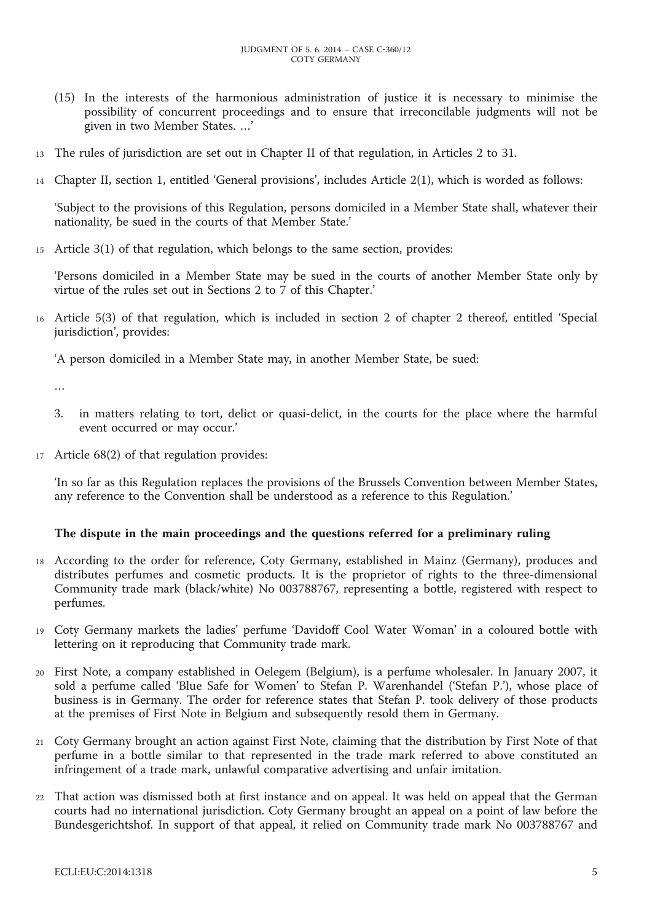- (15) In the interests of the harmonious administration of justice it is necessary to minimise the possibility of concurrent proceedings and to ensure that irreconcilable judgments will not be given in two Member States. …'
- 13 The rules of jurisdiction are set out in Chapter II of that regulation, in Articles 2 to 31.
- 14 Chapter II, section 1, entitled 'General provisions', includes Article 2(1), which is worded as follows:

'Subject to the provisions of this Regulation, persons domiciled in a Member State shall, whatever their nationality, be sued in the courts of that Member State.'

15 Article 3(1) of that regulation, which belongs to the same section, provides:

'Persons domiciled in a Member State may be sued in the courts of another Member State only by virtue of the rules set out in Sections 2 to 7 of this Chapter.'

16 Article 5(3) of that regulation, which is included in section 2 of chapter 2 thereof, entitled 'Special jurisdiction', provides:

'A person domiciled in a Member State may, in another Member State, be sued:

…

- 3. in matters relating to tort, delict or quasi-delict, in the courts for the place where the harmful event occurred or may occur.'
- 17 Article 68(2) of that regulation provides:

'In so far as this Regulation replaces the provisions of the Brussels Convention between Member States, any reference to the Convention shall be understood as a reference to this Regulation.'

# **The dispute in the main proceedings and the questions referred for a preliminary ruling**

- 18 According to the order for reference, Coty Germany, established in Mainz (Germany), produces and distributes perfumes and cosmetic products. It is the proprietor of rights to the three-dimensional Community trade mark (black/white) No 003788767, representing a bottle, registered with respect to perfumes.
- 19 Coty Germany markets the ladies' perfume 'Davidoff Cool Water Woman' in a coloured bottle with lettering on it reproducing that Community trade mark.
- 20 First Note, a company established in Oelegem (Belgium), is a perfume wholesaler. In January 2007, it sold a perfume called 'Blue Safe for Women' to Stefan P. Warenhandel ('Stefan P.'), whose place of business is in Germany. The order for reference states that Stefan P. took delivery of those products at the premises of First Note in Belgium and subsequently resold them in Germany.
- 21 Coty Germany brought an action against First Note, claiming that the distribution by First Note of that perfume in a bottle similar to that represented in the trade mark referred to above constituted an infringement of a trade mark, unlawful comparative advertising and unfair imitation.
- 22 That action was dismissed both at first instance and on appeal. It was held on appeal that the German courts had no international jurisdiction. Coty Germany brought an appeal on a point of law before the Bundesgerichtshof. In support of that appeal, it relied on Community trade mark No 003788767 and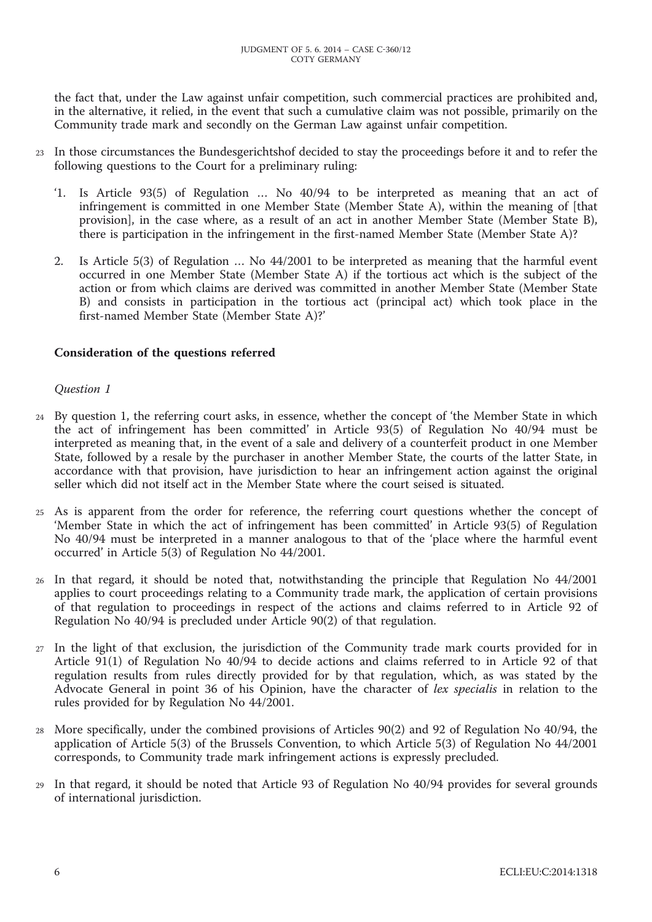the fact that, under the Law against unfair competition, such commercial practices are prohibited and, in the alternative, it relied, in the event that such a cumulative claim was not possible, primarily on the Community trade mark and secondly on the German Law against unfair competition.

- 23 In those circumstances the Bundesgerichtshof decided to stay the proceedings before it and to refer the following questions to the Court for a preliminary ruling:
	- '1. Is Article 93(5) of Regulation … No 40/94 to be interpreted as meaning that an act of infringement is committed in one Member State (Member State A), within the meaning of [that provision], in the case where, as a result of an act in another Member State (Member State B), there is participation in the infringement in the first-named Member State (Member State A)?
	- 2. Is Article 5(3) of Regulation … No 44/2001 to be interpreted as meaning that the harmful event occurred in one Member State (Member State A) if the tortious act which is the subject of the action or from which claims are derived was committed in another Member State (Member State B) and consists in participation in the tortious act (principal act) which took place in the first-named Member State (Member State A)?'

# **Consideration of the questions referred**

# *Question 1*

- 24 By question 1, the referring court asks, in essence, whether the concept of 'the Member State in which the act of infringement has been committed' in Article 93(5) of Regulation No 40/94 must be interpreted as meaning that, in the event of a sale and delivery of a counterfeit product in one Member State, followed by a resale by the purchaser in another Member State, the courts of the latter State, in accordance with that provision, have jurisdiction to hear an infringement action against the original seller which did not itself act in the Member State where the court seised is situated.
- 25 As is apparent from the order for reference, the referring court questions whether the concept of 'Member State in which the act of infringement has been committed' in Article 93(5) of Regulation No 40/94 must be interpreted in a manner analogous to that of the 'place where the harmful event occurred' in Article 5(3) of Regulation No 44/2001.
- 26 In that regard, it should be noted that, notwithstanding the principle that Regulation No 44/2001 applies to court proceedings relating to a Community trade mark, the application of certain provisions of that regulation to proceedings in respect of the actions and claims referred to in Article 92 of Regulation No 40/94 is precluded under Article 90(2) of that regulation.
- 27 In the light of that exclusion, the jurisdiction of the Community trade mark courts provided for in Article 91(1) of Regulation No 40/94 to decide actions and claims referred to in Article 92 of that regulation results from rules directly provided for by that regulation, which, as was stated by the Advocate General in point 36 of his Opinion, have the character of *lex specialis* in relation to the rules provided for by Regulation No 44/2001.
- 28 More specifically, under the combined provisions of Articles 90(2) and 92 of Regulation No 40/94, the application of Article 5(3) of the Brussels Convention, to which Article 5(3) of Regulation No 44/2001 corresponds, to Community trade mark infringement actions is expressly precluded.
- 29 In that regard, it should be noted that Article 93 of Regulation No 40/94 provides for several grounds of international jurisdiction.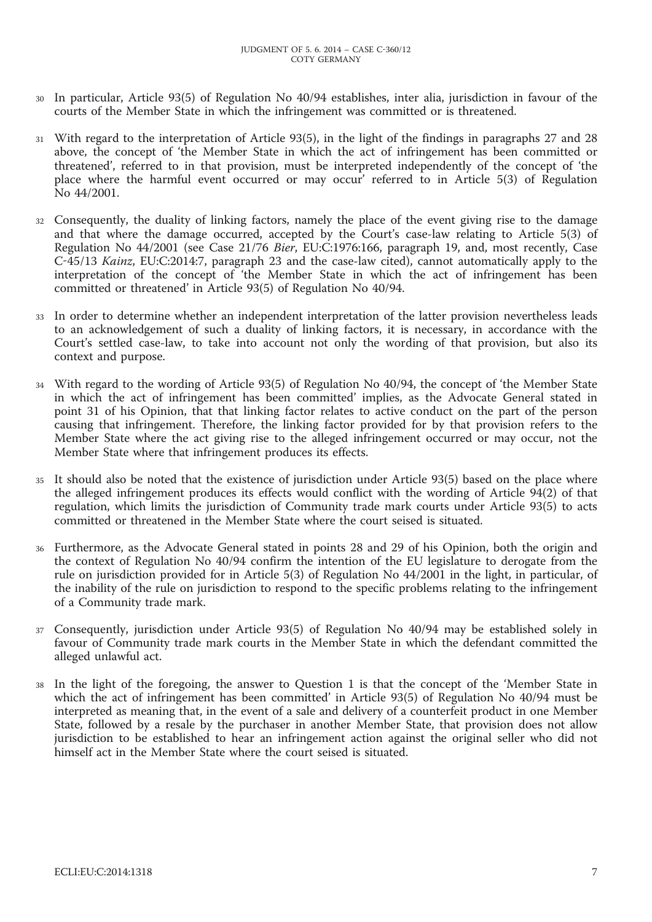- In particular, Article 93(5) of Regulation No 40/94 establishes, inter alia, jurisdiction in favour of the courts of the Member State in which the infringement was committed or is threatened.
- 31 With regard to the interpretation of Article 93(5), in the light of the findings in paragraphs 27 and 28 above, the concept of 'the Member State in which the act of infringement has been committed or threatened', referred to in that provision, must be interpreted independently of the concept of 'the place where the harmful event occurred or may occur' referred to in Article 5(3) of Regulation No 44/2001.
- 32 Consequently, the duality of linking factors, namely the place of the event giving rise to the damage and that where the damage occurred, accepted by the Court's case-law relating to Article 5(3) of Regulation No 44/2001 (see Case 21/76 *Bier*, EU:C:1976:166, paragraph 19, and, most recently, Case C-45/13 *Kainz*, EU:C:2014:7, paragraph 23 and the case-law cited), cannot automatically apply to the interpretation of the concept of 'the Member State in which the act of infringement has been committed or threatened' in Article 93(5) of Regulation No 40/94.
- 33 In order to determine whether an independent interpretation of the latter provision nevertheless leads to an acknowledgement of such a duality of linking factors, it is necessary, in accordance with the Court's settled case-law, to take into account not only the wording of that provision, but also its context and purpose.
- 34 With regard to the wording of Article 93(5) of Regulation No 40/94, the concept of 'the Member State in which the act of infringement has been committed' implies, as the Advocate General stated in point 31 of his Opinion, that that linking factor relates to active conduct on the part of the person causing that infringement. Therefore, the linking factor provided for by that provision refers to the Member State where the act giving rise to the alleged infringement occurred or may occur, not the Member State where that infringement produces its effects.
- 35 It should also be noted that the existence of jurisdiction under Article 93(5) based on the place where the alleged infringement produces its effects would conflict with the wording of Article 94(2) of that regulation, which limits the jurisdiction of Community trade mark courts under Article 93(5) to acts committed or threatened in the Member State where the court seised is situated.
- 36 Furthermore, as the Advocate General stated in points 28 and 29 of his Opinion, both the origin and the context of Regulation No 40/94 confirm the intention of the EU legislature to derogate from the rule on jurisdiction provided for in Article 5(3) of Regulation No 44/2001 in the light, in particular, of the inability of the rule on jurisdiction to respond to the specific problems relating to the infringement of a Community trade mark.
- 37 Consequently, jurisdiction under Article 93(5) of Regulation No 40/94 may be established solely in favour of Community trade mark courts in the Member State in which the defendant committed the alleged unlawful act.
- In the light of the foregoing, the answer to Question 1 is that the concept of the 'Member State in which the act of infringement has been committed' in Article 93(5) of Regulation No 40/94 must be interpreted as meaning that, in the event of a sale and delivery of a counterfeit product in one Member State, followed by a resale by the purchaser in another Member State, that provision does not allow jurisdiction to be established to hear an infringement action against the original seller who did not himself act in the Member State where the court seised is situated.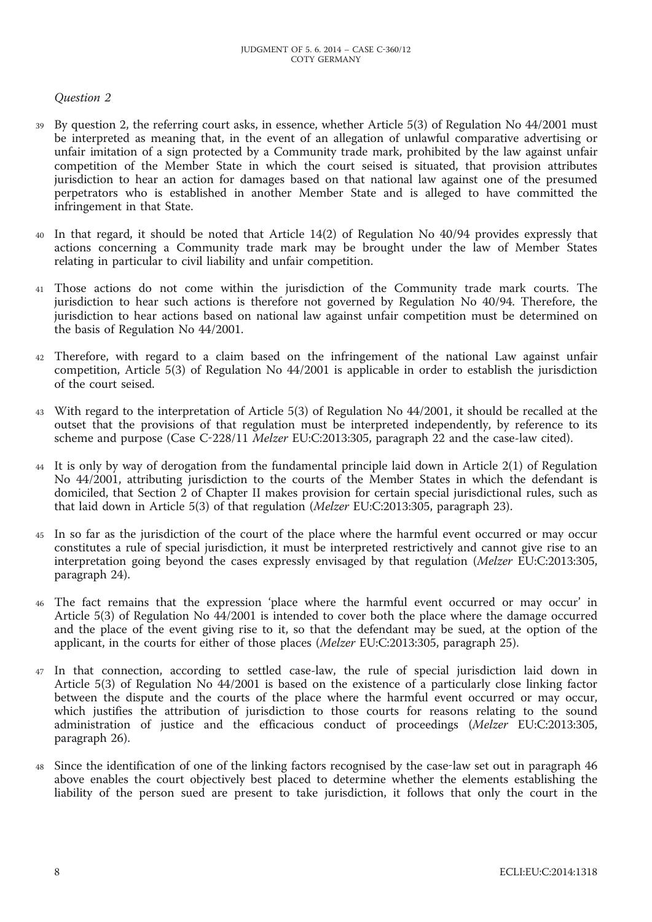# *Question 2*

- By question 2, the referring court asks, in essence, whether Article 5(3) of Regulation No 44/2001 must be interpreted as meaning that, in the event of an allegation of unlawful comparative advertising or unfair imitation of a sign protected by a Community trade mark, prohibited by the law against unfair competition of the Member State in which the court seised is situated, that provision attributes jurisdiction to hear an action for damages based on that national law against one of the presumed perpetrators who is established in another Member State and is alleged to have committed the infringement in that State.
- 40 In that regard, it should be noted that Article 14(2) of Regulation No 40/94 provides expressly that actions concerning a Community trade mark may be brought under the law of Member States relating in particular to civil liability and unfair competition.
- 41 Those actions do not come within the jurisdiction of the Community trade mark courts. The jurisdiction to hear such actions is therefore not governed by Regulation No 40/94. Therefore, the jurisdiction to hear actions based on national law against unfair competition must be determined on the basis of Regulation No 44/2001.
- 42 Therefore, with regard to a claim based on the infringement of the national Law against unfair competition, Article 5(3) of Regulation No 44/2001 is applicable in order to establish the jurisdiction of the court seised.
- 43 With regard to the interpretation of Article 5(3) of Regulation No 44/2001, it should be recalled at the outset that the provisions of that regulation must be interpreted independently, by reference to its scheme and purpose (Case C-228/11 *Melzer* EU:C:2013:305, paragraph 22 and the case-law cited).
- 44 It is only by way of derogation from the fundamental principle laid down in Article 2(1) of Regulation No 44/2001, attributing jurisdiction to the courts of the Member States in which the defendant is domiciled, that Section 2 of Chapter II makes provision for certain special jurisdictional rules, such as that laid down in Article 5(3) of that regulation (*Melzer* EU:C:2013:305, paragraph 23).
- 45 In so far as the jurisdiction of the court of the place where the harmful event occurred or may occur constitutes a rule of special jurisdiction, it must be interpreted restrictively and cannot give rise to an interpretation going beyond the cases expressly envisaged by that regulation (*Melzer* EU:C:2013:305, paragraph 24).
- 46 The fact remains that the expression 'place where the harmful event occurred or may occur' in Article 5(3) of Regulation No 44/2001 is intended to cover both the place where the damage occurred and the place of the event giving rise to it, so that the defendant may be sued, at the option of the applicant, in the courts for either of those places (*Melzer* EU:C:2013:305, paragraph 25).
- 47 In that connection, according to settled case-law, the rule of special jurisdiction laid down in Article 5(3) of Regulation No 44/2001 is based on the existence of a particularly close linking factor between the dispute and the courts of the place where the harmful event occurred or may occur, which justifies the attribution of jurisdiction to those courts for reasons relating to the sound administration of justice and the efficacious conduct of proceedings (*Melzer* EU:C:2013:305, paragraph 26).
- 48 Since the identification of one of the linking factors recognised by the case-law set out in paragraph 46 above enables the court objectively best placed to determine whether the elements establishing the liability of the person sued are present to take jurisdiction, it follows that only the court in the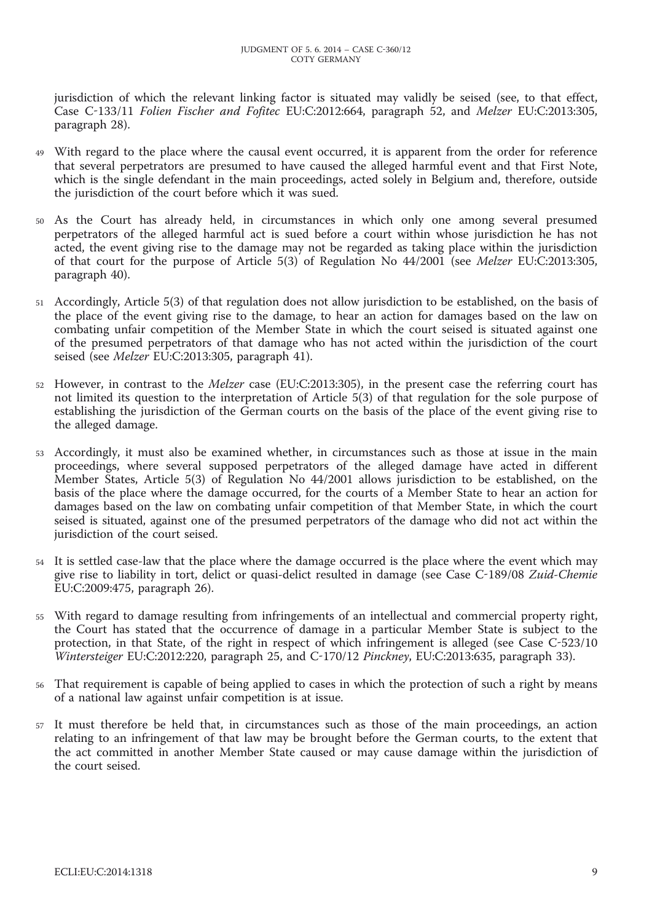jurisdiction of which the relevant linking factor is situated may validly be seised (see, to that effect, Case C-133/11 *Folien Fischer and Fofitec* EU:C:2012:664, paragraph 52, and *Melzer* EU:C:2013:305, paragraph 28).

- 49 With regard to the place where the causal event occurred, it is apparent from the order for reference that several perpetrators are presumed to have caused the alleged harmful event and that First Note, which is the single defendant in the main proceedings, acted solely in Belgium and, therefore, outside the jurisdiction of the court before which it was sued.
- 50 As the Court has already held, in circumstances in which only one among several presumed perpetrators of the alleged harmful act is sued before a court within whose jurisdiction he has not acted, the event giving rise to the damage may not be regarded as taking place within the jurisdiction of that court for the purpose of Article 5(3) of Regulation No 44/2001 (see *Melzer* EU:C:2013:305, paragraph 40).
- 51 Accordingly, Article 5(3) of that regulation does not allow jurisdiction to be established, on the basis of the place of the event giving rise to the damage, to hear an action for damages based on the law on combating unfair competition of the Member State in which the court seised is situated against one of the presumed perpetrators of that damage who has not acted within the jurisdiction of the court seised (see *Melzer* EU:C:2013:305, paragraph 41).
- 52 However, in contrast to the *Melzer* case (EU:C:2013:305), in the present case the referring court has not limited its question to the interpretation of Article 5(3) of that regulation for the sole purpose of establishing the jurisdiction of the German courts on the basis of the place of the event giving rise to the alleged damage.
- 53 Accordingly, it must also be examined whether, in circumstances such as those at issue in the main proceedings, where several supposed perpetrators of the alleged damage have acted in different Member States, Article 5(3) of Regulation No 44/2001 allows jurisdiction to be established, on the basis of the place where the damage occurred, for the courts of a Member State to hear an action for damages based on the law on combating unfair competition of that Member State, in which the court seised is situated, against one of the presumed perpetrators of the damage who did not act within the jurisdiction of the court seised.
- 54 It is settled case-law that the place where the damage occurred is the place where the event which may give rise to liability in tort, delict or quasi-delict resulted in damage (see Case C-189/08 *Zuid-Chemie* EU:C:2009:475, paragraph 26).
- 55 With regard to damage resulting from infringements of an intellectual and commercial property right, the Court has stated that the occurrence of damage in a particular Member State is subject to the protection, in that State, of the right in respect of which infringement is alleged (see Case C-523/10 *Wintersteiger* EU:C:2012:220, paragraph 25, and C-170/12 *Pinckney*, EU:C:2013:635, paragraph 33).
- 56 That requirement is capable of being applied to cases in which the protection of such a right by means of a national law against unfair competition is at issue.
- 57 It must therefore be held that, in circumstances such as those of the main proceedings, an action relating to an infringement of that law may be brought before the German courts, to the extent that the act committed in another Member State caused or may cause damage within the jurisdiction of the court seised.